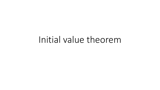# Initial value theorem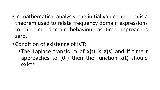- •In mathematical analysis, the initial value theorem is a theorem used to relate frequency domain expressions to the time domain behaviour as time approaches zero.
- Condition of existence of IVT:
	- The Laplace transform of x(t) is X(s) and If time t approaches to  $(0^+)$  then the function  $x(t)$  should exists.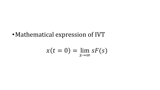· Mathematical expression of IVT

$$
x(t=0)=\lim_{s\to\infty} sF(s)
$$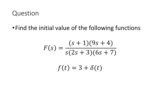#### Question

•Find the initial value of the following functions

$$
F(s) = \frac{(s+1)(9s+4)}{s(2s+3)(6s+7)}
$$

$$
f(t) = 3 + \delta(t)
$$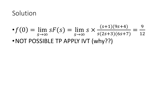# Solution

• 
$$
f(0) = \lim_{s \to \infty} sF(s) = \lim_{s \to \infty} s \times \frac{(s+1)(9s+4)}{s(2s+3)(6s+7)} = \frac{9}{12}
$$
  
\n• NOT POSSIBLE TP APPLY IVT (why??)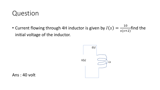## Question

• Current flowing through 4H inductor is given by  $I(s) =$ 10  $s(s+2)$ find the initial voltage of the inductor.



Ans : 40 volt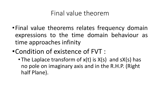## Final value theorem

- •Final value theorems relates frequency domain expressions to the time domain behaviour as time approaches infinity
- •Condition of existence of FVT :
	- The Laplace transform of x(t) is X(s) and sX(s) has no pole on imaginary axis and in the R.H.P. (Right half Plane).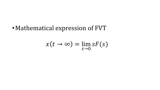•Mathematical expression of FVT

$$
x(t\to\infty)=\lim_{s\to 0} sF(s)
$$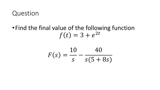#### Question

## •Find the final value of the following function  $f(t) = 3 + e^{2t}$

$$
F(s) = \frac{10}{s} - \frac{40}{s(5+8s)}
$$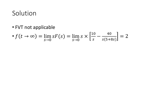# Solution

• FVT not applicable

$$
\bullet f(t \to \infty) = \lim_{s \to 0} sF(s) = \lim_{s \to 0} s \times \left[ \frac{10}{s} - \frac{40}{s(5+8s)} \right] = 2
$$